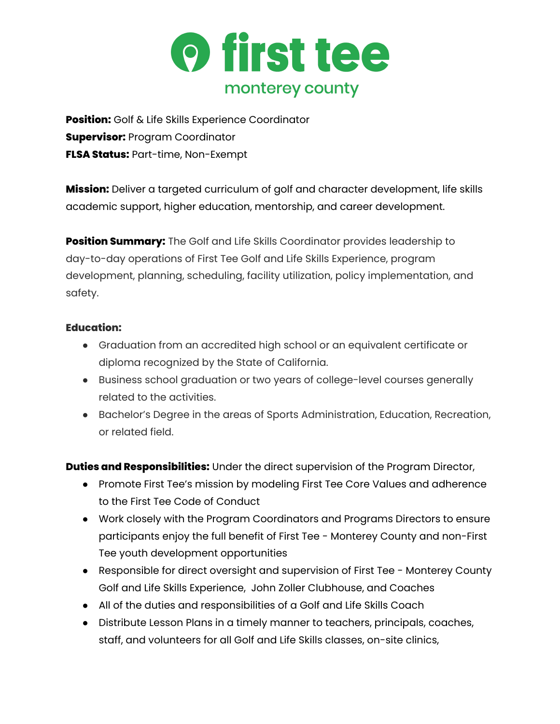

**Position:** Golf & Life Skills Experience Coordinator **Supervisor:** Program Coordinator **FLSA Status:** Part-time, Non-Exempt

**Mission:** Deliver a targeted curriculum of golf and character development, life skills academic support, higher education, mentorship, and career development.

**Position Summary:** The Golf and Life Skills Coordinator provides leadership to day-to-day operations of First Tee Golf and Life Skills Experience, program development, planning, scheduling, facility utilization, policy implementation, and safety.

## **Education:**

- Graduation from an accredited high school or an equivalent certificate or diploma recognized by the State of California.
- Business school graduation or two years of college-level courses generally related to the activities.
- Bachelor's Degree in the areas of Sports Administration, Education, Recreation, or related field.

**Duties and Responsibilities:** Under the direct supervision of the Program Director,

- Promote First Tee's mission by modeling First Tee Core Values and adherence to the First Tee Code of Conduct
- Work closely with the Program Coordinators and Programs Directors to ensure participants enjoy the full benefit of First Tee - Monterey County and non-First Tee youth development opportunities
- Responsible for direct oversight and supervision of First Tee Monterey County Golf and Life Skills Experience, John Zoller Clubhouse, and Coaches
- All of the duties and responsibilities of a Golf and Life Skills Coach
- Distribute Lesson Plans in a timely manner to teachers, principals, coaches, staff, and volunteers for all Golf and Life Skills classes, on-site clinics,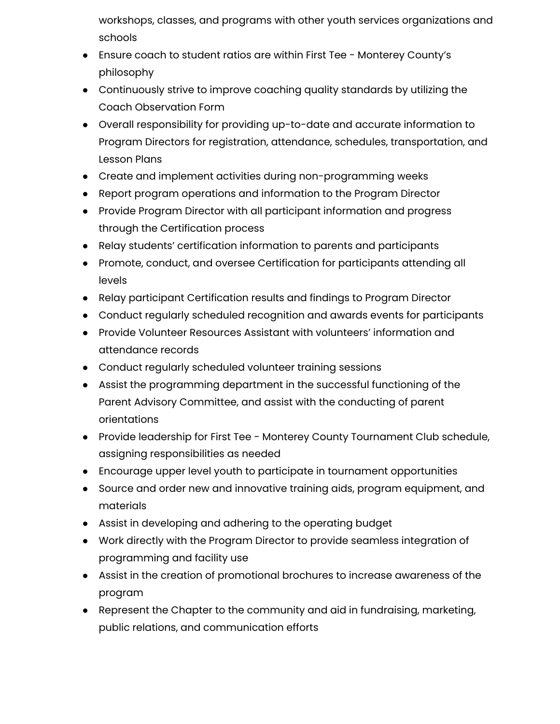workshops, classes, and programs with other youth services organizations and schools

- Ensure coach to student ratios are within First Tee Monterey County's philosophy
- Continuously strive to improve coaching quality standards by utilizing the Coach Observation Form
- Overall responsibility for providing up-to-date and accurate information to Program Directors for registration, attendance, schedules, transportation, and Lesson Plans
- Create and implement activities during non-programming weeks
- Report program operations and information to the Program Director
- Provide Program Director with all participant information and progress through the Certification process
- Relay students' certification information to parents and participants
- Promote, conduct, and oversee Certification for participants attending all levels
- Relay participant Certification results and findings to Program Director
- Conduct regularly scheduled recognition and awards events for participants
- Provide Volunteer Resources Assistant with volunteers' information and attendance records
- Conduct regularly scheduled volunteer training sessions
- Assist the programming department in the successful functioning of the Parent Advisory Committee, and assist with the conducting of parent orientations
- Provide leadership for First Tee Monterey County Tournament Club schedule, assigning responsibilities as needed
- Encourage upper level youth to participate in tournament opportunities
- Source and order new and innovative training aids, program equipment, and materials
- Assist in developing and adhering to the operating budget
- Work directly with the Program Director to provide seamless integration of programming and facility use
- Assist in the creation of promotional brochures to increase awareness of the program
- Represent the Chapter to the community and aid in fundraising, marketing, public relations, and communication efforts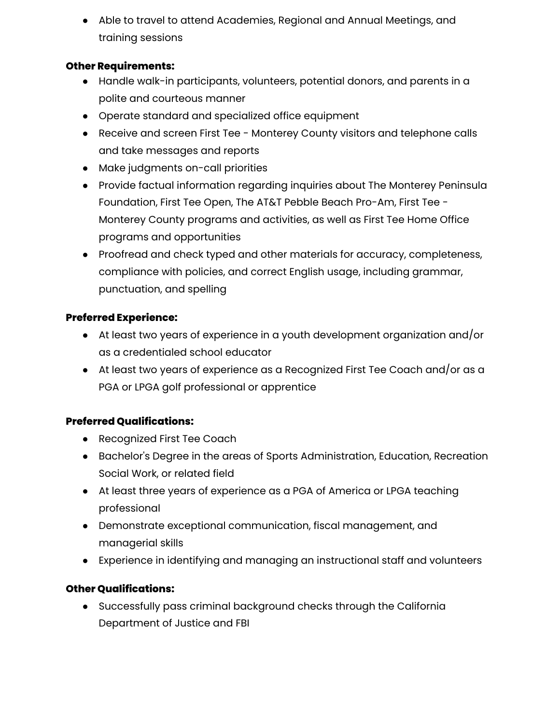● Able to travel to attend Academies, Regional and Annual Meetings, and training sessions

## **Other Requirements:**

- Handle walk-in participants, volunteers, potential donors, and parents in a polite and courteous manner
- Operate standard and specialized office equipment
- Receive and screen First Tee Monterey County visitors and telephone calls and take messages and reports
- Make judgments on-call priorities
- Provide factual information regarding inquiries about The Monterey Peninsula Foundation, First Tee Open, The AT&T Pebble Beach Pro-Am, First Tee - Monterey County programs and activities, as well as First Tee Home Office programs and opportunities
- Proofread and check typed and other materials for accuracy, completeness, compliance with policies, and correct English usage, including grammar, punctuation, and spelling

## **Preferred Experience:**

- At least two years of experience in a youth development organization and/or as a credentialed school educator
- At least two years of experience as a Recognized First Tee Coach and/or as a PGA or LPGA golf professional or apprentice

# **Preferred Qualifications:**

- Recognized First Tee Coach
- Bachelor's Degree in the areas of Sports Administration, Education, Recreation Social Work, or related field
- At least three years of experience as a PGA of America or LPGA teaching professional
- Demonstrate exceptional communication, fiscal management, and managerial skills
- Experience in identifying and managing an instructional staff and volunteers

#### **Other Qualifications:**

● Successfully pass criminal background checks through the California Department of Justice and FBI